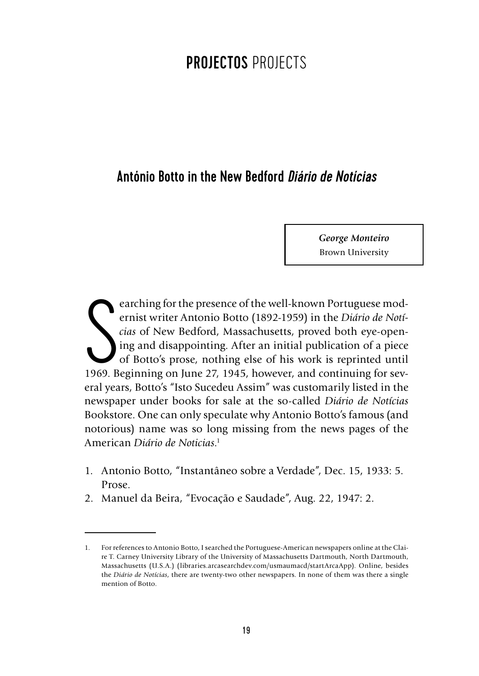## PROJECTOS PROJECTS

## António Botto in the New Bedford *Diário de Notícias*

*George Monteiro* Brown University

Example 1969. Beginning on June 27, 1945, however, and continuing for sev-<br>
1969. Beginning on June 27, 1945, however, and continuing for sev-<br>
2008. Beginning on June 27, 1945, however, and continuing for sev-<br>
2009. Begi earching for the presence of the well-known Portuguese modernist writer Antonio Botto (1892-1959) in the *Diário de Notícias* of New Bedford, Massachusetts, proved both eye-opening and disappointing. After an initial publication of a piece of Botto's prose, nothing else of his work is reprinted until eral years, Botto's "Isto Sucedeu Assim" was customarily listed in the newspaper under books for sale at the so-called *Diário de Notícias* Bookstore. One can only speculate why Antonio Botto's famous (and notorious) name was so long missing from the news pages of the American *Diário de Noticias*. 1

- 1. Antonio Botto, "Instantâneo sobre a Verdade", Dec. 15, 1933: 5. Prose.
- 2. Manuel da Beira, "Evocação e Saudade", Aug. 22, 1947: 2.

<sup>1.</sup> For references to Antonio Botto, I searched the Portuguese-American newspapers online at the Claire T. Carney University Library of the University of Massachusetts Dartmouth, North Dartmouth, Massachusetts (U.S.A.) (libraries.arcasearchdev.com/usmaumacd/startArcaApp). Online, besides the *Diário de Notícias*, there are twenty-two other newspapers. In none of them was there a single mention of Botto.